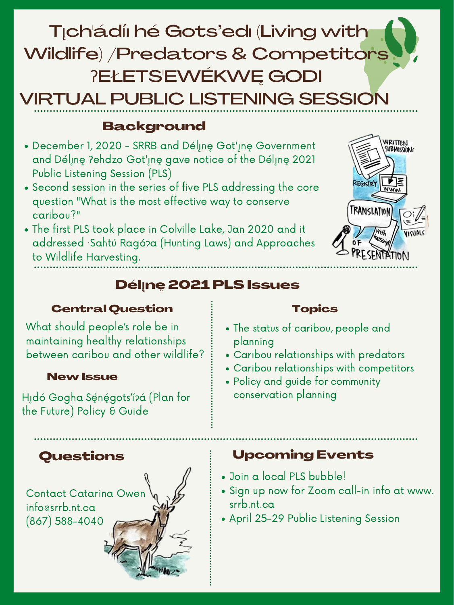# T<sub>l</sub>ch'ádíi hé Gots'edi (Living with Wildlife) /Predators & Competitors **?ELETS'EWÉKWE GODI VIRTUAL PUBLIC LISTENING SESSION**

## **Background**

- December 1, 2020 SRRB and Déline Got'ine Government and Déline ?ehdzo Got'ine gave notice of the Déline 2021 **Public Listening Session (PLS)**
- Second session in the series of five PLS addressing the core question "What is the most effective way to conserve caribou?"
- The first PLS took place in Colville Lake, Jan 2020 and it addressed Sahtú Ragó?a (Hunting Laws) and Approaches to Wildlife Harvesting.



## **Déline 2021 PLS Issues**

#### **Central Question**

#### **Topics**

What should people's role be in maintaining healthy relationships between caribou and other wildlife?

#### **New Issue**

Hıdó Gogha Sénégots'í?á (Plan for the Future) Policy & Guide

## Questions

Contact Catarina Owen info@srrb.nt.ca  $(867) 588 - 4040$ 

## • The status of caribou, people and planning

- Caribou relationships with predators
- · Caribou relationships with competitors
- Policy and guide for community conservation planning

## **Upcoming Events**

- · Join a local PLS bubble!
- Sign up now for Zoom call-in info at www. srrb.nt.ca
- April 25-29 Public Listening Session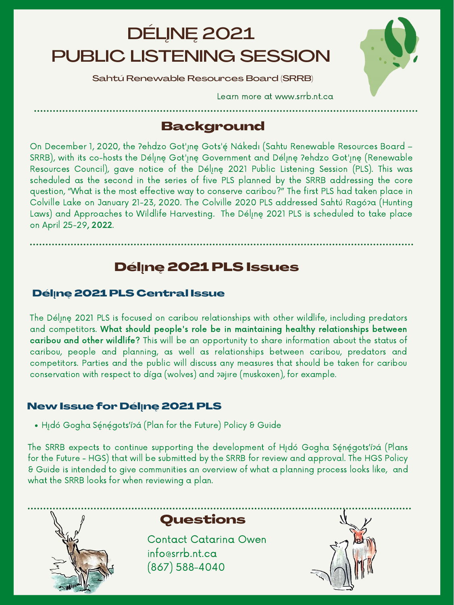On December 1, 2020, the ?ehdzo Got'ı̯nę Gots'ę́ Nákedı (Sahtu Renewable Resources Board – SRRB), with its co-hosts the Délinę Got'inę Government and Délinę ?ehdzo Got'inę (Renewable Resources Council), gave notice of the Délinę 2021 Public Listening Session (PLS). This was scheduled as the second in the series of five PLS planned by the SRRB addressing the core question, "What is the most effective way to conserve caribou?" The first PLS had taken place in Colville Lake on January 21-23, 2020. The Colville 2020 PLS addressed Sahtú Ragó?a (Hunting Laws) and Approaches to Wildlife Harvesting. The Délinę 2021 PLS is scheduled to take place on April 25-29, 2022.

## DÉLĮNĘ 2021 PUBLIC LISTENING SESSION

Sahtú Renewable Resources Board (SRRB)

Learn more at www.srrb.nt.ca

# Background

## Dél**ı̨**nę 2021 PLS Issues

#### Dél**ı̨**nę 2021 PLS Central Issue

The Délinę 2021 PLS is focused on caribou relationships with other wildlife, including predators and competitors. What should people's role be in maintaining healthy relationships between caribou and other wildlife? This will be an opportunity to share information about the status of caribou, people and planning, as well as relationships between caribou, predators and competitors. Parties and the public will discuss any measures that should be taken for caribou conservation with respect to díga (wolves) and pajire (muskoxen), for example.



The SRRB expects to continue supporting the development of Hidó Gogha Sę́nę́gots'ípa (Plans for the Future - HGS) that will be submitted by the SRRB for review and approval. The HGS Policy & Guide is intended to give communities an overview of what a planning process looks like, and what the SRRB looks for when reviewing a plan.



#### New Issue for Dél**ı̨**nę 2021 PLS

· Hıdó Gogha Sę́nę́gots'í?a (Plan for the Future) Policy & Guide

## Questions

Contact Catarina Owen info@srrb.nt.ca (867) 588-4040